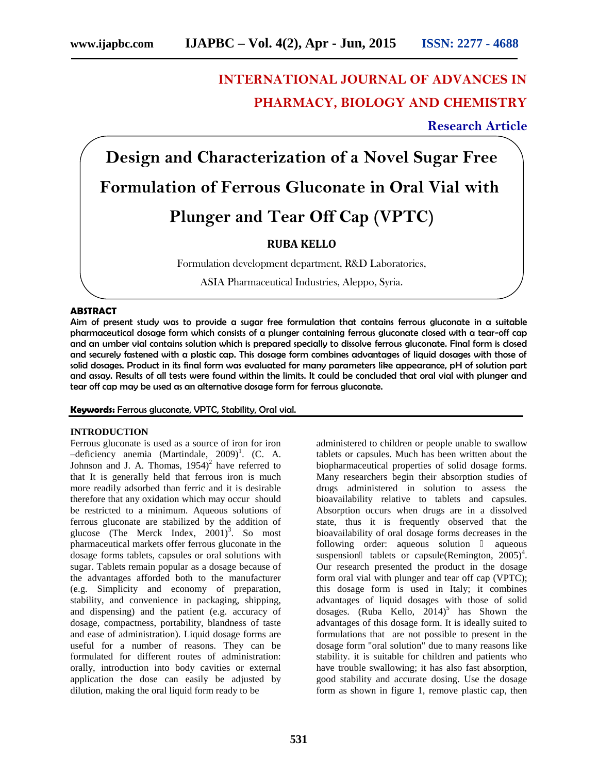# **INTERNATIONAL JOURNAL OF ADVANCES IN PHARMACY, BIOLOGY AND CHEMISTRY**

# **Research Article**

**Design and Characterization of a Novel Sugar Free Formulation of Ferrous Gluconate in Oral Vial with Plunger and Tear Off Cap (VPTC)**

# **RUBA KELLO**

Formulation development department, R&D Laboratories,

ASIA Pharmaceutical Industries, Aleppo, Syria.

# **ABSTRACT**

Aim of present study was to provide a sugar free formulation that contains ferrous gluconate in a suitable pharmaceutical dosage form which consists of a plunger containing ferrous gluconate closed with a tear-off cap and an umber vial contains solution which is prepared specially to dissolve ferrous gluconate. Final form is closed and securely fastened with a plastic cap. This dosage form combines advantages of liquid dosages with those of solid dosages. Product in its final form was evaluated for many parameters like appearance, pH of solution part and assay. Results of all tests were found within the limits. It could be concluded that oral vial with plunger and tear off cap may be used as an alternative dosage form for ferrous gluconate.

# **Keywords:** Ferrous gluconate, VPTC, Stability, Oral vial.

# **INTRODUCTION**

Ferrous gluconate is used as a source of iron for iron  $-\text{deficiency}$  anemia (Martindale, 2009)<sup>1</sup>. (C. A. Johnson and J. A. Thomas,  $1954$ <sup>2</sup> have referred to that It is generally held that ferrous iron is much more readily adsorbed than ferric and it is desirable therefore that any oxidation which may occur should be restricted to a minimum. Aqueous solutions of ferrous gluconate are stabilized by the addition of glucose (The Merck Index,  $2001$ <sup>3</sup>. So most pharmaceutical markets offer ferrous gluconate in the dosage forms tablets, capsules or oral solutions with sugar. Tablets remain popular as a dosage because of the advantages afforded both to the manufacturer (e.g. Simplicity and economy of preparation, stability, and convenience in packaging, shipping, and dispensing) and the patient (e.g. accuracy of dosage, compactness, portability, blandness of taste and ease of administration). Liquid dosage forms are useful for a number of reasons. They can be formulated for different routes of administration: orally, introduction into body cavities or external application the dose can easily be adjusted by dilution, making the oral liquid form ready to be

administered to children or people unable to swallow tablets or capsules. Much has been written about the biopharmaceutical properties of solid dosage forms. Many researchers begin their absorption studies of drugs administered in solution to assess the bioavailability relative to tablets and capsules. Absorption occurs when drugs are in a dissolved state, thus it is frequently observed that the bioavailability of oral dosage forms decreases in the following order: aqueous solution aqueous suspension tablets or capsule(Remington,  $2005)^4$ . Our research presented the product in the dosage form oral vial with plunger and tear off cap (VPTC); this dosage form is used in Italy; it combines advantages of liquid dosages with those of solid dosages. (Ruba Kello,  $2014$ <sup>5</sup> has Shown the advantages of this dosage form. It is ideally suited to formulations that are not possible to present in the dosage form "oral solution" due to many reasons like stability. it is suitable for children and patients who have trouble swallowing; it has also fast absorption, good stability and accurate dosing. Use the dosage form as shown in figure 1, remove plastic cap, then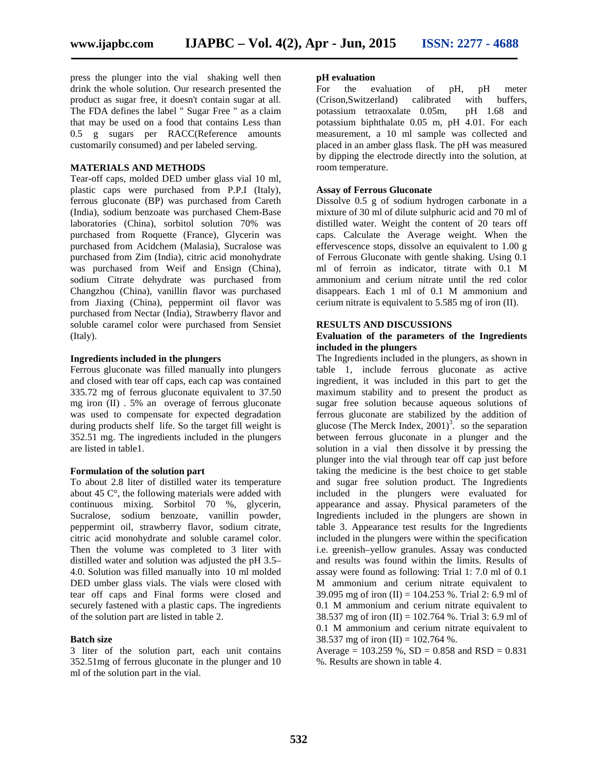press the plunger into the vial shaking well then drink the whole solution. Our research presented the product as sugar free, it doesn't contain sugar at all. The FDA defines the label " Sugar Free " as a claim that may be used on a food that contains Less than 0.5 g sugars per RACC(Reference amounts customarily consumed) and per labeled serving.

# **MATERIALS AND METHODS**

Tear-off caps, molded DED umber glass vial 10 ml, plastic caps were purchased from P.P.I (Italy), ferrous gluconate (BP) was purchased from Careth (India), sodium benzoate was purchased Chem-Base laboratories (China), sorbitol solution 70% was purchased from Roquette (France), Glycerin was purchased from Acidchem (Malasia), Sucralose was purchased from Zim (India), citric acid monohydrate was purchased from Weif and Ensign (China), sodium Citrate dehydrate was purchased from Changzhou (China), vanillin flavor was purchased from Jiaxing (China), peppermint oil flavor was purchased from Nectar (India), Strawberry flavor and soluble caramel color were purchased from Sensiet (Italy).

#### **Ingredients included in the plungers**

Ferrous gluconate was filled manually into plungers and closed with tear off caps, each cap was contained 335.72 mg of ferrous gluconate equivalent to 37.50 mg iron (II) .5% an overage of ferrous gluconate was used to compensate for expected degradation during products shelf life. So the target fill weight is 352.51 mg. The ingredients included in the plungers are listed in table1.

#### **Formulation of the solution part**

To about 2.8 liter of distilled water its temperature about 45 C°, the following materials were added with continuous mixing. Sorbitol 70 %, glycerin, Sucralose, sodium benzoate, vanillin powder, peppermint oil, strawberry flavor, sodium citrate, citric acid monohydrate and soluble caramel color. Then the volume was completed to 3 liter with distilled water and solution was adjusted the pH 3.5– 4.0. Solution was filled manually into 10 ml molded DED umber glass vials. The vials were closed with tear off caps and Final forms were closed and securely fastened with a plastic caps. The ingredients of the solution part are listed in table 2.

# **Batch size**

3 liter of the solution part, each unit contains 352.51mg of ferrous gluconate in the plunger and 10 ml of the solution part in the vial.

#### **pH evaluation**

For the evaluation of pH, pH meter (Crison,Switzerland) calibrated with buffers, potassium tetraoxalate 0.05m, pH 1.68 and potassium biphthalate 0.05 m, pH 4.01. For each measurement, a 10 ml sample was collected and placed in an amber glass flask. The pH was measured by dipping the electrode directly into the solution, at room temperature.

#### **Assay of Ferrous Gluconate**

Dissolve 0.5 g of sodium hydrogen carbonate in a mixture of 30 ml of dilute sulphuric acid and 70 ml of distilled water. Weight the content of 20 tears off caps. Calculate the Average weight. When the effervescence stops, dissolve an equivalent to 1.00 g of Ferrous Gluconate with gentle shaking. Using 0.1 ml of ferroin as indicator, titrate with 0.1 M ammonium and cerium nitrate until the red color disappears. Each 1 ml of 0.1 M ammonium and cerium nitrate is equivalent to 5.585 mg of iron (II).

# **RESULTS AND DISCUSSIONS**

# **Evaluation of the parameters of the Ingredients included in the plungers**

The Ingredients included in the plungers, as shown in table 1, include ferrous gluconate as active ingredient, it was included in this part to get the maximum stability and to present the product as sugar free solution because aqueous solutions of ferrous gluconate are stabilized by the addition of glucose (The Merck Index,  $2001$ <sup>3</sup>. so the separation between ferrous gluconate in a plunger and the solution in a vial then dissolve it by pressing the plunger into the vial through tear off cap just before taking the medicine is the best choice to get stable and sugar free solution product. The Ingredients included in the plungers were evaluated for appearance and assay. Physical parameters of the Ingredients included in the plungers are shown in table 3. Appearance test results for the Ingredients included in the plungers were within the specification i.e. greenish–yellow granules. Assay was conducted and results was found within the limits. Results of assay were found as following: Trial 1: 7.0 ml of 0.1 M ammonium and cerium nitrate equivalent to 39.095 mg of iron (II) =  $104.253$  %. Trial 2: 6.9 ml of 0.1 M ammonium and cerium nitrate equivalent to 38.537 mg of iron (II) = 102.764 %. Trial 3: 6.9 ml of 0.1 M ammonium and cerium nitrate equivalent to 38.537 mg of iron (II) =  $102.764$  %.

Average =  $103.259$  %, SD = 0.858 and RSD = 0.831 %. Results are shown in table 4.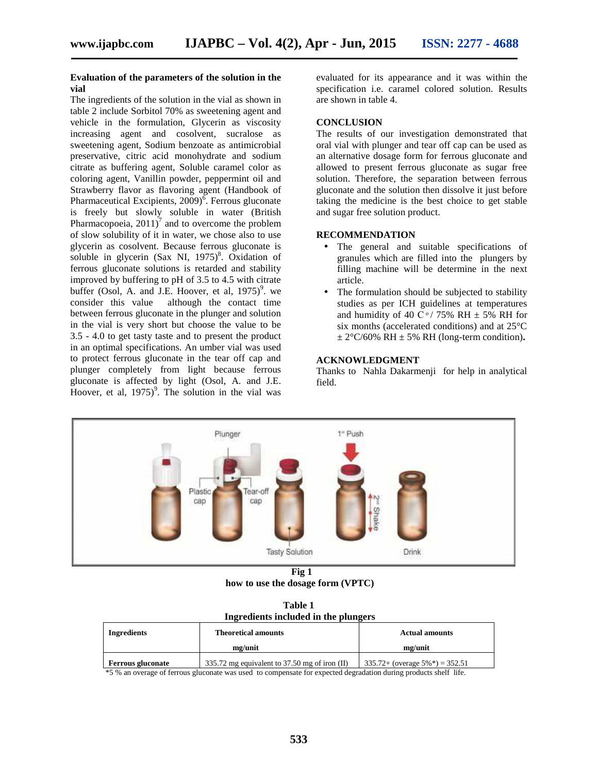# **Evaluation of the parameters of the solution in the vial**

The ingredients of the solution in the vial as shown in table 2 include Sorbitol 70% as sweetening agent and vehicle in the formulation, Glycerin as viscosity increasing agent and cosolvent, sucralose as sweetening agent, Sodium benzoate as antimicrobial preservative, citric acid monohydrate and sodium citrate as buffering agent, Soluble caramel color as coloring agent, Vanillin powder, peppermint oil and Strawberry flavor as flavoring agent (Handbook of Pharmaceutical Excipients, 2009)<sup>6</sup>. Ferrous gluconate is freely but slowly soluble in water (British Pharmacopoeia,  $2011$ <sup>7</sup> and to overcome the problem of slow solubility of it in water, we chose also to use glycerin as cosolvent. Because ferrous gluconate is soluble in glycerin  $(Sax \ NI, 1975)^8$ . Oxidation of ferrous gluconate solutions is retarded and stability improved by buffering to pH of 3.5 to 4.5 with citrate buffer (Osol, A. and J.E. Hoover, et al,  $1975$ )<sup>9</sup>. we consider this value although the contact time between ferrous gluconate in the plunger and solution in the vial is very short but choose the value to be 3.5 - 4.0 to get tasty taste and to present the product in an optimal specifications. An umber vial was used to protect ferrous gluconate in the tear off cap and plunger completely from light because ferrous gluconate is affected by light (Osol, A. and J.E. Hoover, et al,  $1975$ <sup>9</sup>. The solution in the vial was

evaluated for its appearance and it was within the specification i.e. caramel colored solution. Results are shown in table 4.

# **CONCLUSION**

The results of our investigation demonstrated that oral vial with plunger and tear off cap can be used as an alternative dosage form for ferrous gluconate and allowed to present ferrous gluconate as sugar free solution. Therefore, the separation between ferrous gluconate and the solution then dissolve it just before taking the medicine is the best choice to get stable and sugar free solution product.

#### **RECOMMENDATION**

- The general and suitable specifications of granules which are filled into the plungers by filling machine will be determine in the next article.
- The formulation should be subjected to stability studies as per ICH guidelines at temperatures and humidity of 40 C $\degree$ / 75% RH  $\pm$  5% RH for six months (accelerated conditions) and at 25°C  $\pm 2^{\circ}$ C/60% RH  $\pm 5$ % RH (long-term condition).

# **ACKNOWLEDGMENT**

Thanks to Nahla Dakarmenji for help in analytical field.



**Fig 1**

**how to use the dosage form (VPTC)**

| Table 1                              |  |
|--------------------------------------|--|
| Ingredients included in the plungers |  |

| <b>Ingredients</b>       | <b>Theoretical amounts</b>                      | <b>Actual amounts</b>                            |
|--------------------------|-------------------------------------------------|--------------------------------------------------|
|                          | mg/unit                                         | mg/unit                                          |
| <b>Ferrous gluconate</b> | 335.72 mg equivalent to 37.50 mg of iron $(II)$ | $335.72+$ (overage $5\%$ <sup>*</sup> ) = 352.51 |

\*5 % an overage of ferrous gluconate was used to compensate for expected degradation during products shelf life.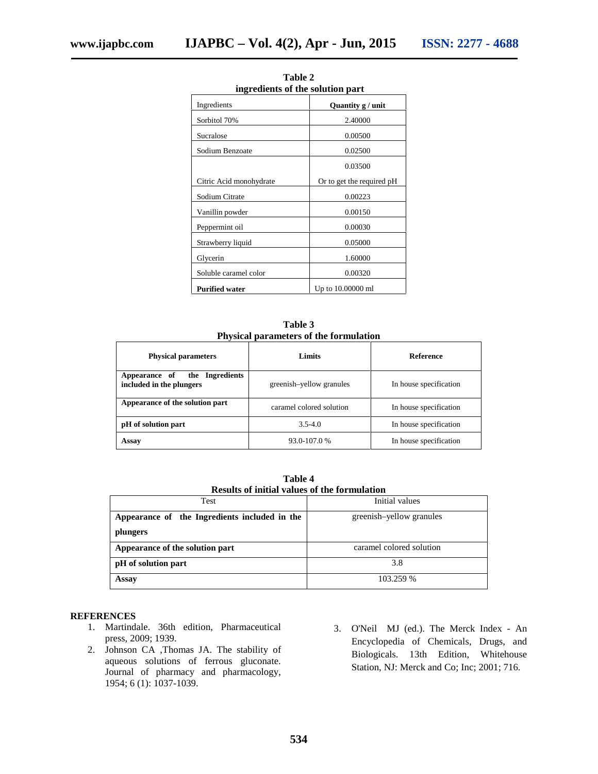| ingredients of the solution part |                            |
|----------------------------------|----------------------------|
| Ingredients                      | Quantity $g / \text{unit}$ |
| Sorbitol 70%                     | 2.40000                    |
| Sucralose                        | 0.00500                    |
| Sodium Benzoate                  | 0.02500                    |
|                                  | 0.03500                    |
| Citric Acid monohydrate          | Or to get the required pH  |
| Sodium Citrate                   | 0.00223                    |
| Vanillin powder                  | 0.00150                    |
| Peppermint oil                   | 0.00030                    |
| Strawberry liquid                | 0.05000                    |
| Glycerin                         | 1.60000                    |
| Soluble caramel color            | 0.00320                    |
| <b>Purified water</b>            | Up to 10.00000 ml          |

**Table 2 ingredients of the solution part**

**Table 3 Physical parameters of the formulation**

| <b>Physical parameters</b>                                   | Limits                   | <b>Reference</b>       |
|--------------------------------------------------------------|--------------------------|------------------------|
| the Ingredients<br>Appearance of<br>included in the plungers | greenish-yellow granules | In house specification |
| Appearance of the solution part                              | caramel colored solution | In house specification |
| pH of solution part                                          | $3.5 - 4.0$              | In house specification |
| Assay                                                        | 93.0-107.0 %             | In house specification |

**Table 4 Results of initial values of the formulation**

| <b>Test</b>                                   | Initial values           |
|-----------------------------------------------|--------------------------|
| Appearance of the Ingredients included in the | greenish-yellow granules |
| plungers                                      |                          |
| Appearance of the solution part               | caramel colored solution |
| pH of solution part                           | 3.8                      |
| Assay                                         | 103.259 %                |

# **REFERENCES**

- 1. Martindale. 36th edition, Pharmaceutical press, 2009; 1939.
- 2. Johnson CA ,Thomas JA. The stability of aqueous solutions of ferrous gluconate. Journal of pharmacy and pharmacology, 1954; 6 (1): 1037-1039.
- 3. O'Neil MJ (ed.). The Merck Index An Encyclopedia of Chemicals, Drugs, and Biologicals. 13th Edition, Whitehouse Station, NJ: Merck and Co; Inc; 2001; 716.